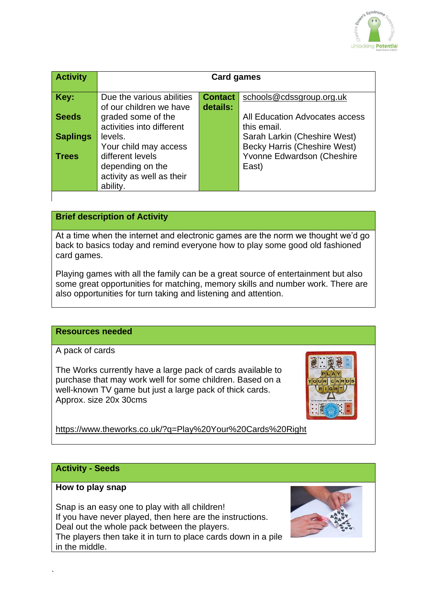

| <b>Activity</b> | <b>Card games</b>         |                |                                     |
|-----------------|---------------------------|----------------|-------------------------------------|
|                 |                           |                |                                     |
| Key:            | Due the various abilities | <b>Contact</b> | schools@cdssgroup.org.uk            |
|                 | of our children we have   | details:       |                                     |
| <b>Seeds</b>    | graded some of the        |                | All Education Advocates access      |
|                 | activities into different |                | this email.                         |
| <b>Saplings</b> | levels.                   |                | Sarah Larkin (Cheshire West)        |
|                 | Your child may access     |                | <b>Becky Harris (Cheshire West)</b> |
| <b>Trees</b>    | different levels          |                | Yvonne Edwardson (Cheshire          |
|                 | depending on the          |                | East)                               |
|                 | activity as well as their |                |                                     |
|                 | ability.                  |                |                                     |
|                 |                           |                |                                     |

## **Brief description of Activity**

At a time when the internet and electronic games are the norm we thought we'd go back to basics today and remind everyone how to play some good old fashioned card games.

Playing games with all the family can be a great source of entertainment but also some great opportunities for matching, memory skills and number work. There are also opportunities for turn taking and listening and attention.

#### **Resources needed**

A pack of cards

The Works currently have a large pack of cards available to purchase that may work well for some children. Based on a well-known TV game but just a large pack of thick cards. Approx. size 20x 30cms



<https://www.theworks.co.uk/?q=Play%20Your%20Cards%20Right>

#### **Activity - Seeds**

#### **How to play snap**

`

Snap is an easy one to play with all children! If you have never played, then here are the instructions. Deal out the whole pack between the players. The players then take it in turn to place cards down in a pile in the middle.

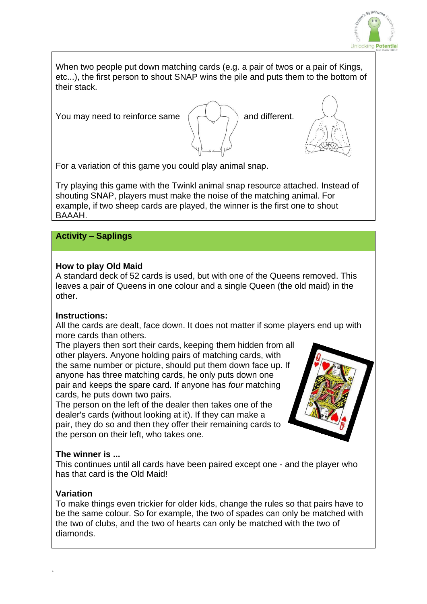

When two people put down matching cards (e.g. a pair of twos or a pair of Kings, etc...), the first person to shout SNAP wins the pile and puts them to the bottom of their stack.

You may need to reinforce same  $\left(\begin{array}{c} \begin{array}{c} \begin{array}{c} \end{array} \\ \end{array}\right)$  and different.





For a variation of this game you could play animal snap.

Try playing this game with the Twinkl animal snap resource attached. Instead of shouting SNAP, players must make the noise of the matching animal. For example, if two sheep cards are played, the winner is the first one to shout BAAAH.

# **Activity – Saplings**

## **How to play Old Maid**

A standard deck of 52 cards is used, but with one of the Queens removed. This leaves a pair of Queens in one colour and a single Queen (the old maid) in the other.

# **Instructions:**

All the cards are dealt, face down. It does not matter if some players end up with more cards than others.

The players then sort their cards, keeping them hidden from all other players. Anyone holding pairs of matching cards, with the same number or picture, should put them down face up. If anyone has three matching cards, he only puts down one pair and keeps the spare card. If anyone has *four* matching cards, he puts down two pairs.

The person on the left of the dealer then takes one of the dealer's cards (without looking at it). If they can make a pair, they do so and then they offer their remaining cards to the person on their left, who takes one.



# **The winner is ...**

This continues until all cards have been paired except one - and the player who has that card is the Old Maid!

# **Variation**

To make things even trickier for older kids, change the rules so that pairs have to be the same colour. So for example, the two of spades can only be matched with the two of clubs, and the two of hearts can only be matched with the two of diamonds.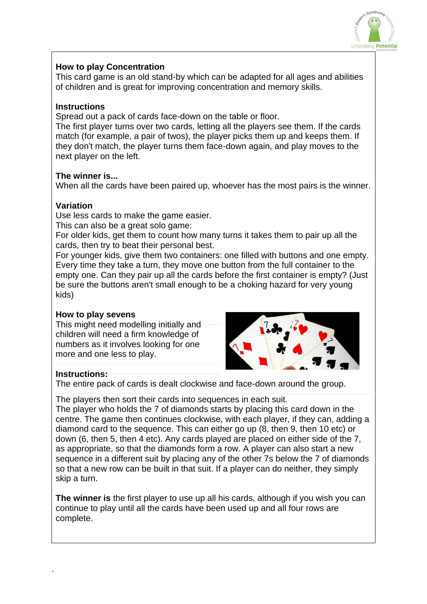

## **How to play Concentration**

This card game is an old stand-by which can be adapted for all ages and abilities of children and is great for improving concentration and memory skills.

## **Instructions**

Spread out a pack of cards face-down on the table or floor.

The first player turns over two cards, letting all the players see them. If the cards match (for example, a pair of twos), the player picks them up and keeps them. If they don't match, the player turns them face-down again, and play moves to the next player on the left.

## **The winner is...**

When all the cards have been paired up, whoever has the most pairs is the winner.

## **Variation**

Use less cards to make the game easier.

This can also be a great solo game:

For older kids, get them to count how many turns it takes them to pair up all the cards, then try to beat their personal best.

For younger kids, give them two containers: one filled with buttons and one empty. Every time they take a turn, they move one button from the full container to the empty one. Can they pair up all the cards before the first container is empty? (Just be sure the buttons aren't small enough to be a choking hazard for very young kids)

## **How to play sevens**

This might need modelling initially and children will need a firm knowledge of numbers as it involves looking for one more and one less to play.



## **Instructions:**

`

The entire pack of cards is dealt clockwise and face-down around the group.

The players then sort their cards into sequences in each suit.

The player who holds the 7 of diamonds starts by placing this card down in the centre. The game then continues clockwise, with each player, if they can, adding a diamond card to the sequence. This can either go up (8, then 9, then 10 etc) or down (6, then 5, then 4 etc). Any cards played are placed on either side of the 7, as appropriate, so that the diamonds form a row. A player can also start a new sequence in a different suit by placing any of the other 7s below the 7 of diamonds so that a new row can be built in that suit. If a player can do neither, they simply skip a turn.

**The winner is** the first player to use up all his cards, although if you wish you can continue to play until all the cards have been used up and all four rows are complete.